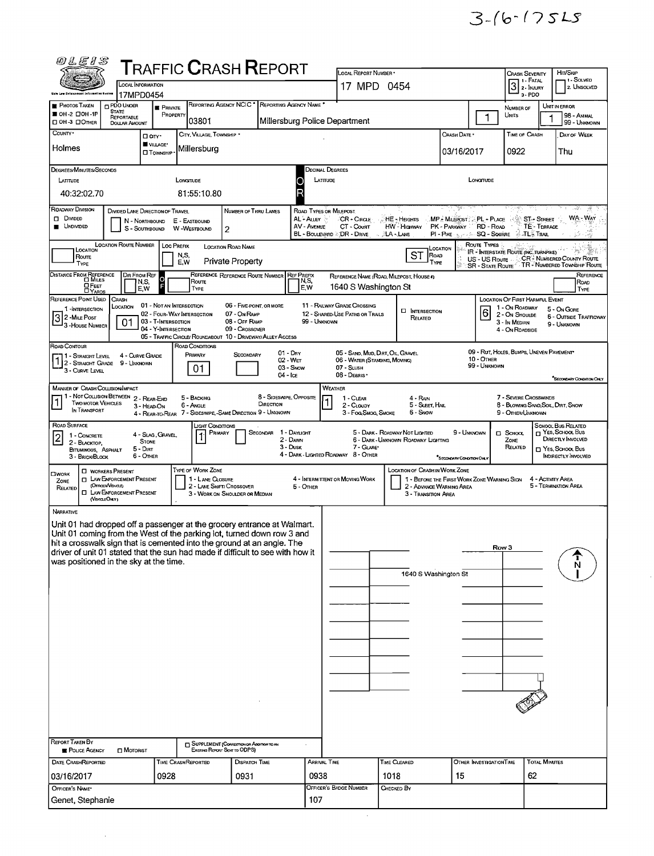| 00 L E I S                                                                                                                                                                                                                                                                                                              |                                                                                                                                                                                          |                                                        |                            |                              | ${\sf T}$ RAFFIC ${\sf C}$ RASH ${\sf R}$ EPORT                                  |                       |                                 | LOCAL REPORT NUMBER                                                                                                                                                          |                      |                                                                       |                                                                          |                            | <b>CRASH SEVERITY</b>                                                                                                                                                  |                      | Hn/Skip                                                      |  |
|-------------------------------------------------------------------------------------------------------------------------------------------------------------------------------------------------------------------------------------------------------------------------------------------------------------------------|------------------------------------------------------------------------------------------------------------------------------------------------------------------------------------------|--------------------------------------------------------|----------------------------|------------------------------|----------------------------------------------------------------------------------|-----------------------|---------------------------------|------------------------------------------------------------------------------------------------------------------------------------------------------------------------------|----------------------|-----------------------------------------------------------------------|--------------------------------------------------------------------------|----------------------------|------------------------------------------------------------------------------------------------------------------------------------------------------------------------|----------------------|--------------------------------------------------------------|--|
|                                                                                                                                                                                                                                                                                                                         |                                                                                                                                                                                          | <b>LOCAL INFORMATION</b>                               |                            |                              |                                                                                  |                       |                                 | 17 MPD 0454                                                                                                                                                                  |                      |                                                                       |                                                                          |                            | 1 - FATAL<br>$3$ $\overline{\phantom{a}}$ $\overline{\phantom{a}}$ $\overline{\phantom{a}}$ $\overline{\phantom{a}}$ $\overline{\phantom{a}}$ $\overline{\phantom{a}}$ |                      | i 1 - Solved<br>2. UNSOLVED                                  |  |
| <b>PHOTOS TAKEN</b>                                                                                                                                                                                                                                                                                                     | <b>DPDO UNOER</b>                                                                                                                                                                        | 17MPD0454                                              | <b>E</b> PRIVATE           |                              | REPORTING AGENCY NCIC <sup>*</sup>                                               | REPORTING AGENCY NAME |                                 |                                                                                                                                                                              |                      |                                                                       |                                                                          |                            | 3-PDO<br>NUMBER OF                                                                                                                                                     |                      | UNIT IN ERROR                                                |  |
| OH-2 00H-1P<br>□ OH-3 □ OTHER                                                                                                                                                                                                                                                                                           | STATE<br>REPORTABLE<br><b>DOLLAR AMOUNT</b>                                                                                                                                              |                                                        | PROPERTY                   | 03801                        |                                                                                  |                       |                                 | Millersburg Police Department                                                                                                                                                |                      |                                                                       |                                                                          |                            | Units                                                                                                                                                                  |                      | 98 - ANIMAL<br>99 - UNKNOWN                                  |  |
| COUNTY <sup>*</sup>                                                                                                                                                                                                                                                                                                     |                                                                                                                                                                                          | □ arv·                                                 |                            | CITY, VILLAGE, TOWNSHIP      |                                                                                  |                       |                                 |                                                                                                                                                                              |                      |                                                                       | CRASH DATE *                                                             |                            | TIME OF CRASH                                                                                                                                                          |                      | DAY OF WEEK                                                  |  |
| Holmes                                                                                                                                                                                                                                                                                                                  |                                                                                                                                                                                          | VILLAGE*<br><b>IT</b> TOWNSHIP                         |                            | Millersburg                  |                                                                                  |                       |                                 |                                                                                                                                                                              |                      |                                                                       | 03/16/2017                                                               |                            | 0922                                                                                                                                                                   |                      | Thu                                                          |  |
| DEGREES/MINUTES/SECONDS                                                                                                                                                                                                                                                                                                 |                                                                                                                                                                                          |                                                        |                            |                              |                                                                                  |                       |                                 | Decimal Degrees                                                                                                                                                              |                      |                                                                       |                                                                          |                            |                                                                                                                                                                        |                      |                                                              |  |
| LATITUDE<br>40:32:02.70                                                                                                                                                                                                                                                                                                 |                                                                                                                                                                                          |                                                        | LONGITUDE                  | 81:55:10.80                  |                                                                                  |                       |                                 | LATITUDE                                                                                                                                                                     |                      |                                                                       |                                                                          | LONGTUDE                   |                                                                                                                                                                        |                      |                                                              |  |
| ROADWAY DIVISION                                                                                                                                                                                                                                                                                                        | DIVIDED LANE DIRECTION OF TRAVEL                                                                                                                                                         |                                                        |                            |                              | NUMBER OF THRU LANES                                                             |                       |                                 | ROAD TYPES OR MILEPOST                                                                                                                                                       |                      |                                                                       |                                                                          |                            |                                                                                                                                                                        |                      |                                                              |  |
| D DIVIDED<br><b>UNDIVIDED</b>                                                                                                                                                                                                                                                                                           |                                                                                                                                                                                          | N - Northbound<br>S - SouthBound                       |                            | E - EASTBOUND<br>W WESTBOUND | 2                                                                                |                       | AL-Auer ∛<br><b>AV - AVENUE</b> | CR - Circu:<br>CT - COURT                                                                                                                                                    |                      | HE - Heights<br>HW - Highway                                          | <b>MP. MILEROST: PL - PLACE AND ST- STREET</b><br>PK - PARKWAY RD - ROAD |                            |                                                                                                                                                                        | <b>TE-TERRACE</b>    | WA - WAY                                                     |  |
|                                                                                                                                                                                                                                                                                                                         | BL - BOULEVARD & DR - DRIVE<br>PI - PIKE NEWS SQ - SQUARE<br>⊗∡TL⊱Tral<br>∄LA - LANE<br>LOCATION ROUTE NUMBER<br>Route Types<br>Loc PREFIX<br>LOCATION ROAD NAME<br>LOCATION<br>LOCATION |                                                        |                            |                              |                                                                                  |                       |                                 |                                                                                                                                                                              |                      |                                                                       |                                                                          |                            |                                                                                                                                                                        |                      |                                                              |  |
| IR - INTERSTATE ROUTE (INC. TURNPIKE)<br>75° - 38 E<br>ST<br>ROAD<br>N,S,<br>Route<br>CR <sup>2</sup> NUMBERED COUNTY ROUTE<br>US-US Route<br><b>Private Property</b><br>E.W<br>TYPE<br>TYPE<br>TR - NUMBERED TOWNSHIP ROUTE<br><b>SR - STATE ROUTE</b>                                                                 |                                                                                                                                                                                          |                                                        |                            |                              |                                                                                  |                       |                                 |                                                                                                                                                                              |                      |                                                                       |                                                                          |                            |                                                                                                                                                                        |                      |                                                              |  |
| DISTANCE FROM REFERENCE                                                                                                                                                                                                                                                                                                 |                                                                                                                                                                                          | DIR FROM REF<br>$\circ$<br>N,S,                        |                            | Route                        | REFERENCE REFERENCE ROUTE NUMBER                                                 |                       | <b>REF PREFIX</b><br>N,S.       | REFERENCE NAME (ROAD, MILEPOST, HOUSE #)                                                                                                                                     |                      |                                                                       |                                                                          |                            |                                                                                                                                                                        |                      | REFERENCE<br>ROAD                                            |  |
| <b>O</b> FEET<br>REFERENCE POINT USED                                                                                                                                                                                                                                                                                   | CRASH                                                                                                                                                                                    | E,W                                                    |                            | TYPE                         |                                                                                  |                       | E,W                             | 1640 S Washington St                                                                                                                                                         |                      |                                                                       |                                                                          |                            | LOCATION OF FIRST HARMFUL EVENT                                                                                                                                        |                      | TYPE                                                         |  |
| 1-INTERSECTION<br>2-MILE POST                                                                                                                                                                                                                                                                                           | LOCATION                                                                                                                                                                                 | 01 - NOT AN INTERSECTION<br>02 - FOUR-WAY INTERSECTION |                            |                              | 06 - FIVE-POINT, OR MORE<br>07 - On RAMP                                         |                       |                                 | 11 - RAILWAY GRADE CROSSING<br>12 - SHARED USE PATHS OR TRAILS                                                                                                               |                      | <b>EI</b> INTERSECTION<br>RELATED                                     |                                                                          | 61                         | 1 - On Roadway<br>2 - On Shoulde                                                                                                                                       |                      | 5 - On Gore<br><b>6 - OUTSIDE TRAFFICWAY</b>                 |  |
| <u> 3</u><br>- 3 - House Number                                                                                                                                                                                                                                                                                         | 01                                                                                                                                                                                       | 03 - T-INTERSECTION<br>04 - Y-INTERSECTION             |                            |                              | 08 - Off RAMP<br>09 - Crossover                                                  |                       | 99 - Unknown                    |                                                                                                                                                                              |                      |                                                                       |                                                                          |                            | 3 - In Median<br>4 - On Roansine                                                                                                                                       |                      | 9 - UNKNOWN                                                  |  |
| ROAD CONTOUR                                                                                                                                                                                                                                                                                                            |                                                                                                                                                                                          |                                                        |                            | ROAD CONDITIONS              | 05 - TRAFFIC CIRCLE/ ROUNDABOUT 10 - DRIVEWAY/ ALLEY ACCESS                      | 01 - DRY              |                                 | 05 - SAND, MUD, DIRT, OIL, GRAVEL                                                                                                                                            |                      |                                                                       |                                                                          |                            | 09 - RUT, HOLES, BUMPS, UNEVEN PAVEMENT                                                                                                                                |                      |                                                              |  |
| 1 - Straight Level<br>2 - STRAIGHT CRADE<br>3 - Curve Level                                                                                                                                                                                                                                                             | 9 - UNKNOWN                                                                                                                                                                              | 4 - CURVE GRADE                                        |                            | PRIMARY<br>01                | SECONDARY                                                                        | $02 - WET$            | 03 - Snow                       | 06 - WATER (STANDING, MOVING)<br>07 - SLUSH                                                                                                                                  |                      |                                                                       |                                                                          | 10 - OTHER<br>99 - UNKNOWN |                                                                                                                                                                        |                      |                                                              |  |
|                                                                                                                                                                                                                                                                                                                         |                                                                                                                                                                                          |                                                        |                            |                              |                                                                                  | 04 - Ice              |                                 | 08 - DEBRIS ·                                                                                                                                                                |                      |                                                                       |                                                                          |                            |                                                                                                                                                                        |                      | "SECONDARY CONDITION ONLY                                    |  |
| MANNER OF CRASH COLLISION/IMPACT<br>WEATHER<br>1 - Not Collision Between 2 - Rear-End<br>8 - SIDESWIPE, OPPOSITE<br>7 - Severe Crosswinds<br>5 - BACKING<br>$1 - C$ LEAR<br>4 - RAN<br> 1<br><b>TWO MOTOR VEHICLES</b><br>DIRECTION<br>6 - Angle<br>5 - Sleet, Hall<br>8 - BLOWING SAND, SOIL, DIRT, SNOW<br>2 - CLOUDY |                                                                                                                                                                                          |                                                        |                            |                              |                                                                                  |                       |                                 |                                                                                                                                                                              |                      |                                                                       |                                                                          |                            |                                                                                                                                                                        |                      |                                                              |  |
| IN TRANSPORT                                                                                                                                                                                                                                                                                                            |                                                                                                                                                                                          | 3 - HEAD-ON                                            |                            |                              | 4 - REAR-TO-REAR 7 - SIDESWIPE, -SAME DIRECTION 9 - UNKNOWN                      |                       |                                 | 3 - Fog Smog, Smoke                                                                                                                                                          |                      | 6 - Snow                                                              |                                                                          |                            | 9 - OTHER/UNKNOWN                                                                                                                                                      |                      |                                                              |  |
| ROAD SURFACE<br>$\overline{c}$<br>1 - CONCRETE                                                                                                                                                                                                                                                                          |                                                                                                                                                                                          | 4 - SLAG, GRAVEL,                                      |                            | Light Conditions<br>PRIMARY  |                                                                                  | SECONDAR              | 1 Daylight                      |                                                                                                                                                                              |                      | 5 - DARK - ROADWAY NOT LIGHTED<br>6 - DARK - UNKNOWN ROADWAY LIGHTING | 9 - Unknown                                                              |                            | □ Sαноα.<br>ZONE                                                                                                                                                       |                      | School Bus Related<br>T YES, SCHOOL BUS<br>DIRECTLY INVOLVED |  |
| 2 - DAWN<br><b>STONE</b><br>2 - BLACKTOP.<br>3 - Dusk<br>5 - Dirt<br>BITUMINOUS, ASPHALT<br>6 - OTHER<br>3 - BRICK BLOCK                                                                                                                                                                                                |                                                                                                                                                                                          |                                                        |                            |                              |                                                                                  |                       |                                 | 7 - GLARE*<br>4 - DARK - LIGHTED ROADWAY 8 - OTHER                                                                                                                           |                      |                                                                       | "SECONDARY CONDITION ONLY                                                |                            | RELATED                                                                                                                                                                |                      | T YES SCHOOL BUS<br><b>NDIRECTLY INVOLVED</b>                |  |
| $\square$ work                                                                                                                                                                                                                                                                                                          | <b>C WORKERS PRESENT</b>                                                                                                                                                                 |                                                        |                            | <b>TYPE OF WORK ZONE</b>     |                                                                                  |                       |                                 |                                                                                                                                                                              |                      | <b>LOCATION OF CRASH IN WORK ZONE</b>                                 |                                                                          |                            |                                                                                                                                                                        |                      |                                                              |  |
| <b>INVENFORCEMENT PRESENT</b><br>1 - LANE CLOSURE<br>ZONE<br>(OFROENVENICLE)<br>2 - LANE SHIFT/ CROSSOVER<br>RELATED<br><b>I LAW ENFORCEMENT PRESENT</b><br>3 - WORK ON SHOULDER OR MEDIAN                                                                                                                              |                                                                                                                                                                                          |                                                        |                            |                              |                                                                                  |                       | 5 - OTHER                       | 4 - INTERMITTENT OR MOVING WORK<br>1 - BEFORE THE FIRST WORK ZONE WARNING SIGN<br>4 - Activity Area<br>2 - ADVANCE WARNING AREA<br>5 - TERMINATION AREA<br>3 - Transmon Area |                      |                                                                       |                                                                          |                            |                                                                                                                                                                        |                      |                                                              |  |
| (VEHICLEONLY)<br>NARRATIVE                                                                                                                                                                                                                                                                                              |                                                                                                                                                                                          |                                                        |                            |                              |                                                                                  |                       |                                 |                                                                                                                                                                              |                      |                                                                       |                                                                          |                            |                                                                                                                                                                        |                      |                                                              |  |
| Unit 01 had dropped off a passenger at the grocery entrance at Walmart.                                                                                                                                                                                                                                                 |                                                                                                                                                                                          |                                                        |                            |                              |                                                                                  |                       |                                 |                                                                                                                                                                              |                      |                                                                       |                                                                          |                            |                                                                                                                                                                        |                      |                                                              |  |
| Unit 01 coming from the West of the parking lot, turned down row 3 and<br>hit a crosswalk sign that is cemented into the ground at an angle. The                                                                                                                                                                        |                                                                                                                                                                                          |                                                        |                            |                              |                                                                                  |                       |                                 |                                                                                                                                                                              |                      |                                                                       |                                                                          | Row 3                      |                                                                                                                                                                        |                      |                                                              |  |
| driver of unit 01 stated that the sun had made if difficult to see with how it<br>was positioned in the sky at the time.                                                                                                                                                                                                |                                                                                                                                                                                          |                                                        |                            |                              |                                                                                  |                       |                                 |                                                                                                                                                                              |                      |                                                                       |                                                                          |                            |                                                                                                                                                                        |                      | N                                                            |  |
|                                                                                                                                                                                                                                                                                                                         |                                                                                                                                                                                          |                                                        |                            |                              |                                                                                  |                       |                                 |                                                                                                                                                                              |                      | 1640 S Washington St                                                  |                                                                          |                            |                                                                                                                                                                        |                      |                                                              |  |
|                                                                                                                                                                                                                                                                                                                         |                                                                                                                                                                                          |                                                        |                            |                              |                                                                                  |                       |                                 |                                                                                                                                                                              |                      |                                                                       |                                                                          |                            |                                                                                                                                                                        |                      |                                                              |  |
|                                                                                                                                                                                                                                                                                                                         |                                                                                                                                                                                          |                                                        |                            |                              |                                                                                  |                       |                                 |                                                                                                                                                                              |                      |                                                                       |                                                                          |                            |                                                                                                                                                                        |                      |                                                              |  |
|                                                                                                                                                                                                                                                                                                                         |                                                                                                                                                                                          |                                                        |                            |                              |                                                                                  |                       |                                 |                                                                                                                                                                              |                      |                                                                       |                                                                          |                            |                                                                                                                                                                        |                      |                                                              |  |
|                                                                                                                                                                                                                                                                                                                         |                                                                                                                                                                                          |                                                        |                            |                              |                                                                                  |                       |                                 |                                                                                                                                                                              |                      |                                                                       |                                                                          |                            |                                                                                                                                                                        |                      |                                                              |  |
|                                                                                                                                                                                                                                                                                                                         |                                                                                                                                                                                          |                                                        |                            |                              |                                                                                  |                       |                                 |                                                                                                                                                                              |                      |                                                                       |                                                                          |                            |                                                                                                                                                                        |                      |                                                              |  |
|                                                                                                                                                                                                                                                                                                                         |                                                                                                                                                                                          |                                                        |                            |                              |                                                                                  |                       |                                 |                                                                                                                                                                              |                      |                                                                       |                                                                          |                            |                                                                                                                                                                        |                      |                                                              |  |
|                                                                                                                                                                                                                                                                                                                         |                                                                                                                                                                                          |                                                        |                            |                              |                                                                                  |                       |                                 |                                                                                                                                                                              |                      |                                                                       |                                                                          |                            |                                                                                                                                                                        |                      |                                                              |  |
|                                                                                                                                                                                                                                                                                                                         |                                                                                                                                                                                          |                                                        |                            |                              |                                                                                  |                       |                                 |                                                                                                                                                                              |                      |                                                                       |                                                                          |                            |                                                                                                                                                                        |                      |                                                              |  |
| <b>REPORT TAKEN BY</b>                                                                                                                                                                                                                                                                                                  |                                                                                                                                                                                          |                                                        |                            |                              |                                                                                  |                       |                                 |                                                                                                                                                                              |                      |                                                                       |                                                                          |                            |                                                                                                                                                                        |                      |                                                              |  |
| <b>POLICE AGENCY</b>                                                                                                                                                                                                                                                                                                    | <b>D</b> MOTORIST                                                                                                                                                                        |                                                        |                            |                              | SUPPLEMENT (CORRECTION OR ADDITION TO AN<br><b>EXISTING REPORT SENT TO ODPS)</b> |                       |                                 |                                                                                                                                                                              |                      |                                                                       |                                                                          |                            |                                                                                                                                                                        |                      |                                                              |  |
| <b>DATE CRASHREPORTED</b><br>03/16/2017                                                                                                                                                                                                                                                                                 |                                                                                                                                                                                          |                                                        | TIME CRASHREPORTED<br>0928 |                              | <b>DISPATCH TIME</b><br>0931                                                     |                       | 0938                            | ARRIVAL TIME                                                                                                                                                                 | TIME CLEARED<br>1018 |                                                                       | 15                                                                       | OTHER INVESTIGATION TIME   | 62                                                                                                                                                                     | <b>TOTAL MINUTES</b> |                                                              |  |
| OFFICER'S NAME*                                                                                                                                                                                                                                                                                                         |                                                                                                                                                                                          |                                                        |                            |                              |                                                                                  |                       |                                 | OFFICER'S BADGE NUMBER                                                                                                                                                       |                      | CHECKED BY                                                            |                                                                          |                            |                                                                                                                                                                        |                      |                                                              |  |
| Genet, Stephanie                                                                                                                                                                                                                                                                                                        |                                                                                                                                                                                          |                                                        |                            | 107                          |                                                                                  |                       |                                 |                                                                                                                                                                              |                      |                                                                       |                                                                          |                            |                                                                                                                                                                        |                      |                                                              |  |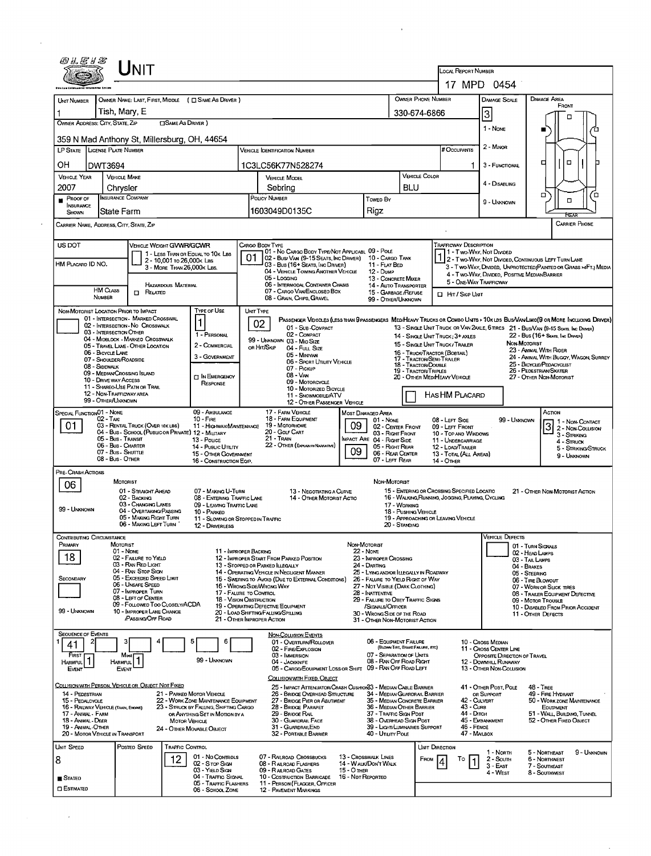| <i>®LE1S</i>                                                | <b>NIT</b>                                                                |                                                                                |                                                   |                                                                                                 |                                                                       |                                  |                                                                      |                                                                 |                                                                                                                             |  |  |  |  |
|-------------------------------------------------------------|---------------------------------------------------------------------------|--------------------------------------------------------------------------------|---------------------------------------------------|-------------------------------------------------------------------------------------------------|-----------------------------------------------------------------------|----------------------------------|----------------------------------------------------------------------|-----------------------------------------------------------------|-----------------------------------------------------------------------------------------------------------------------------|--|--|--|--|
|                                                             |                                                                           |                                                                                |                                                   |                                                                                                 |                                                                       |                                  | LOCAL REPORT NUMBER                                                  | 17 MPD 0454                                                     |                                                                                                                             |  |  |  |  |
| <b>UNT NUMBER</b>                                           | OWNER NAME: LAST, FIRST, MIDDLE ( C SAME AS DRIVER )                      |                                                                                |                                                   |                                                                                                 |                                                                       |                                  | OWNER PHONE NUMBER                                                   | <b>DAMAGE SCALE</b>                                             | <b>DAMAGE AREA</b>                                                                                                          |  |  |  |  |
|                                                             | Tish, Mary, E                                                             |                                                                                |                                                   |                                                                                                 | 330-674-6866                                                          |                                  |                                                                      |                                                                 | FRONT                                                                                                                       |  |  |  |  |
| OWNER ADDRESS: CITY, STATE, ZIP                             | <b>CISAME AS DRIVER</b> )                                                 |                                                                                |                                                   |                                                                                                 |                                                                       |                                  |                                                                      | 3                                                               | о                                                                                                                           |  |  |  |  |
|                                                             | 359 N Mad Anthony St, Millersburg, OH, 44654                              |                                                                                | 1 - None                                          |                                                                                                 |                                                                       |                                  |                                                                      |                                                                 |                                                                                                                             |  |  |  |  |
| LP STATE LICENSE PLATE NUMBER                               |                                                                           |                                                                                |                                                   | <b>VEHICLE IDENTIFICATION NUMBER</b>                                                            |                                                                       |                                  | # Occupants                                                          | 2 - MINOR                                                       |                                                                                                                             |  |  |  |  |
| OH<br><b>DWT3694</b>                                        |                                                                           |                                                                                |                                                   | 1C3LC56K77N528274                                                                               |                                                                       |                                  | 3 - Гимстюми                                                         | $\Box$<br>□                                                     |                                                                                                                             |  |  |  |  |
| <b>VEHICLE YEAR</b>                                         | <b>VEHICLE MAKE</b>                                                       |                                                                                |                                                   | <b>VEHICLE MODEL</b>                                                                            |                                                                       |                                  | VEHICLE COLOR                                                        |                                                                 |                                                                                                                             |  |  |  |  |
| 2007                                                        | Chrysler                                                                  |                                                                                |                                                   | Sebring                                                                                         |                                                                       | BLU                              |                                                                      | 4 - DISABLING                                                   |                                                                                                                             |  |  |  |  |
| PROOF OF<br><b>INSURANCE</b>                                | <b>INSURANCE COMPANY</b>                                                  |                                                                                |                                                   | POLICY NUMBER                                                                                   | Towen By                                                              |                                  |                                                                      | 9 - UNKNOWN                                                     | □<br>◻<br>$\Box$                                                                                                            |  |  |  |  |
| SHOWN                                                       | State Farm                                                                |                                                                                |                                                   | 1603049D0135C                                                                                   | Rigz                                                                  |                                  |                                                                      |                                                                 | <b>HFAI</b>                                                                                                                 |  |  |  |  |
| CARRIER NAME, ADDRESS, CITY, STATE, ZIP                     |                                                                           |                                                                                |                                                   |                                                                                                 |                                                                       |                                  |                                                                      |                                                                 | <b>CARRIER PHONE</b>                                                                                                        |  |  |  |  |
| US DOT                                                      | VEHICLE WEIGHT GVWR/GCWR                                                  |                                                                                | CARGO BODY TYPE                                   | 01 - No CARGO BODY TYPE/NOT APPLICABL 09 - POLE                                                 |                                                                       |                                  | <b>TRAFFICWAY DESCRIPTION</b>                                        | 1 - Two-Way, Not Divided                                        |                                                                                                                             |  |  |  |  |
| HM PLACARD ID NO.                                           | 2 - 10,001 To 26,000K LBS                                                 | 1 - LESS THAN OR EQUAL TO 10K LBS                                              | 01                                                | 02 - Busi VAN (9-15 SEATS, INC DRIVER) 10 - CARGO TANK<br>03 - Bus (16+ Seats, Inc Driver)      | 11 - FLAT BED                                                         |                                  |                                                                      |                                                                 | 2 - Two-WAY, NOT DIVIDED, CONTINUOUS LEFT TURN LANE                                                                         |  |  |  |  |
|                                                             | 3 - MORE THAN 26,000K LBS.                                                |                                                                                |                                                   | 04 - VEHICLE TOWING ANOTHER VEHICLE<br>05 - Logging                                             | 12 - Dump<br>13 - CONCRETE MIXER                                      |                                  |                                                                      | 4 - Two-Way, DIVIDED, POSITIVE MEDIANBARRIER                    | 3 - Two-Way, Divided, Unprotected (Painted or Grass >4Ft.) Media                                                            |  |  |  |  |
| <b>HM CLASS</b>                                             | <b>HAZARDOUS MATERIAL</b>                                                 |                                                                                |                                                   | 06 - INTERMODAL CONTAINER CHASIS<br>07 - CARGO VAN/ENCLOSED BOX                                 | 14 - AUTO TRANSPORTER                                                 |                                  |                                                                      | 5 - ONE-WAY TRAFFICWAY<br>HIT / SKIP UNIT                       |                                                                                                                             |  |  |  |  |
| NUMBER                                                      | $\Box$ Related                                                            |                                                                                |                                                   | 08 - GRAIN, CHIPS, GRAVEL                                                                       | 15 - GARBAGE /REFUSE<br>99 - OTHER/UNKNOWN                            |                                  |                                                                      |                                                                 |                                                                                                                             |  |  |  |  |
| NON-MOTORIST LOCATION PRIOR TO IMPACT                       | 01 - INTERSECTION - MARKED CROSSWAL                                       | <b>TYPE OF USE</b>                                                             | UNT TYPE                                          |                                                                                                 |                                                                       |                                  |                                                                      |                                                                 | PASSENGER VEHICLES (LESS THAN PPASSENGERS MEDIHEAVY TRUCKS OR COMBO UNITS > 10K LBS BUS/VANLIMO(9 OR MORE INCLUDING DRIVER) |  |  |  |  |
| 03 - INTERSECTION OTHER                                     | 02 - INTERSECTION - NO CROSSWALK                                          |                                                                                | 02                                                | 01 - Sub-Compact                                                                                |                                                                       |                                  |                                                                      |                                                                 | 13 - SINGLE UNIT TRUCK OR VAN 2AXLE, 6 TIRES 21 - BUS/VAN (9-15 SEATS, INC DRIVER)                                          |  |  |  |  |
|                                                             | 04 - MIDBLOCK - MARKED CROSSWALK<br>05 - TRAVEL LANE - OTHER LOCATION     | 1 - PERSONAL<br>2 - COMMERCIAL                                                 |                                                   | 02 - COMPACT<br>99 - UNKNOWN 03 - MIO SIZE                                                      |                                                                       |                                  | 14 - SINGLE UNIT TRUCK: 3+ AXLES<br>15 - SINGLE UNIT TRUCK / TRAILER |                                                                 | 22 - Bus (16+ Seats, Inc Driver)<br>NON-MOTORIST                                                                            |  |  |  |  |
| 06 - BICYCLE LANE<br>07 - Shoulder/Roadside                 |                                                                           | 3 - GOVERNMENT                                                                 | ов Ніт/Sкір                                       | 04 - FutL Size<br>05 - MINIVAN                                                                  |                                                                       |                                  | 16 - TRUCK/TRACTOR (BOBTAIL)<br>17 - TRACTOR/SEMI-TRAILER            | 23 - ANIMAL WITH RIDER<br>24 - ANIMAL WITH BUGGY, WAGON, SURREY |                                                                                                                             |  |  |  |  |
| 08 - SIDEWALK                                               |                                                                           |                                                                                |                                                   | 06 - SPORT UTILITY VEHICLE<br>07 - Pickup                                                       |                                                                       |                                  | 18 - Tractor/Double<br>19 - TRACTOR/TRIPLES                          | 25 - BICYCLE/PEDACYCLIST<br>26 - PEDESTRIAN SKATER              |                                                                                                                             |  |  |  |  |
| 10 - DRIVE WAY ACCESS                                       | 09 - MEDIAN CROSSING ISLAND                                               | <b>TIN EMERGENCY</b><br>RESPONSE                                               |                                                   | 08 - VAN<br>09 - MOTORCYCLE                                                                     |                                                                       | 20 - OTHER MEDIHEAVY VEHICLE     | 27 - OTHER NON-MOTORIST                                              |                                                                 |                                                                                                                             |  |  |  |  |
|                                                             | 11 - SHAREO-USE PATH OR TRAIL<br>12 - Non-Trafficway area                 |                                                                                |                                                   | 10 - MOTORIZED BICYCLE<br>11 - SNOWMOBILE/ATV                                                   |                                                                       |                                  | HAS HM PLACARD                                                       |                                                                 |                                                                                                                             |  |  |  |  |
| 99 - OTHER/UNKNOWN<br>SPECIAL FUNCTION <sub>01</sub> - NONE |                                                                           | 09 - AMBULANCE                                                                 |                                                   | 12 - OTHER PASSENGER VEHICLE<br>17 - FARM VEHICLE                                               | <b>MOST DAMAGED AREA</b>                                              |                                  |                                                                      |                                                                 | Астом                                                                                                                       |  |  |  |  |
| 02 - TAXI<br>01                                             | 03 - RENTAL TRUCK (OVER 10KLBS)                                           | $10 - F_{1RE}$<br>11 - HIGHWAY/MAINTENANCE                                     |                                                   | 18 - FARM EQUIPMENT<br>19 - Мотовноме                                                           | 01 - None<br>09                                                       | 02 - CENTER FRONT                | 08 - LEFT SIDE<br>09 - LEFT FRONT                                    | 99 - UNKNOWN                                                    | 1 - Non-CONTACT<br>ब                                                                                                        |  |  |  |  |
|                                                             | 04 - Bus - SCHOOL (PUBLIC OR PRIVATE) 12 - MILITARY<br>05 - Bus - Transit | 13 - Pouce                                                                     |                                                   | 20 - Golf Cart<br>21 - Train                                                                    | MPACT ARE 04 - RIGHT SIDE                                             | 03 - Right Front                 | 10 - TOP AND WINDOWS<br>11 - UNDERCARRIAGE                           |                                                                 | 2 - Non-Collision<br>3 - STRIKING                                                                                           |  |  |  |  |
|                                                             | 06 - Bus - CHARTER<br>07 - Bus - SHUTTLE                                  | 14 - PuBLIC UTILITY<br>15 - OTHER GOVERNMENT                                   |                                                   | 22 - OTHER (EXPLANSINARIATME)                                                                   | 05 - Right Rear<br>09                                                 | 06 - REAR CENTER                 | 12 - LOAD/TRAILER<br>13 - TOTAL (ALL AREAS)                          |                                                                 | 4 - Struck<br>5 - Striking/Struck                                                                                           |  |  |  |  |
|                                                             | 08 - Bus - OTHER                                                          | 16 - CONSTRUCTION EQIP.                                                        |                                                   |                                                                                                 | 07 - LEFT REAR                                                        |                                  | <b>14 - OTHER</b>                                                    |                                                                 | 9 - Unknown                                                                                                                 |  |  |  |  |
| PRE-CRASH ACTIONS                                           | MOTORIST                                                                  |                                                                                |                                                   |                                                                                                 | NON-MOTORIST                                                          |                                  |                                                                      |                                                                 |                                                                                                                             |  |  |  |  |
| 06                                                          | 01 - STRAIGHT AHEAD                                                       | 07 - MAKING U-TURN                                                             |                                                   | 13 - NEGOTIATING A CURVE                                                                        |                                                                       |                                  | 15 - ENTERING OR CROSSING SPECIFIED LOCATIO                          |                                                                 | 21 - OTHER NON-MOTORIST ACTION                                                                                              |  |  |  |  |
|                                                             | 02 - BACKING<br>03 - CHANGING LANES                                       | 08 - ENTERING TRAFFIC LANE<br>09 - LEAVING TRAFFIC LANE                        |                                                   | 14 - OTHER MOTORIST ACTIO                                                                       | 17 - WORKING                                                          |                                  | 16 - WALKING, RUNNING, JOGGING, PLAYING, CYCLING                     |                                                                 |                                                                                                                             |  |  |  |  |
| 99 - UNKNOWN                                                | 04 - OVERTAKING/PASSING<br>05 - MAKING RIGHT TURN                         | 10 - PARKED<br>11 - SLOWING OR STOPPED IN TRAFFIC                              |                                                   |                                                                                                 |                                                                       | 18 - PUSHING VEHICLE             | 19 - APPROACHING OR LEAVING VEHICLE                                  |                                                                 |                                                                                                                             |  |  |  |  |
|                                                             | 06 - MAKING LEFT TURN                                                     | 12 - DRIVERLESS                                                                |                                                   |                                                                                                 |                                                                       | 20 - STANDING                    |                                                                      |                                                                 |                                                                                                                             |  |  |  |  |
| <b>CONTRIBUTING CIRCUMSTANCE</b><br>PRIMARY                 | MOTORIST                                                                  |                                                                                |                                                   |                                                                                                 | NON-MOTORIST                                                          |                                  |                                                                      | <b>VEHICLE DEFECTS</b>                                          | 01 - TURN SICNALS                                                                                                           |  |  |  |  |
| 18                                                          | $01 - None$<br>02 - FAILURE TO YIELD                                      |                                                                                | 11 - IMPROPER BACKING                             | 12 - IMPROPER START FROM PARKED POSITION                                                        | $22 - None$<br>23 - IMPROPER CROSSING                                 |                                  |                                                                      |                                                                 | 02 - HEAD LAMPS<br>03 - TAIL LAMPS                                                                                          |  |  |  |  |
|                                                             | 03 - RAN RED LIGHT<br>04 - RAN STOP SIGN                                  |                                                                                |                                                   | 13 - STOPPED OR PARKED ILLEGALLY<br>14 - OPERATING VEHICLE IN NEGLIGENT MANNER                  | 24 - DARTING<br>25 - LYING AND/OR LLEGALLY IN ROADWAY                 |                                  |                                                                      |                                                                 | 04 - BRAKES<br>05 - STEERING                                                                                                |  |  |  |  |
| SECONDARY                                                   | 05 - Exceeded Speed Limit<br>06 - UNSAFE SPEED                            |                                                                                |                                                   | 15 - SWERING TO AVOID (DUE TO EXTERNAL CONDITIONS)<br>16 - WRONG SIDE/WRONG WAY                 | 26 - FALURE TO YIELD RIGHT OF WAY<br>27 - NOT VISIBLE (DARK CLOTHING) |                                  |                                                                      |                                                                 | 06 - TIRE BLOWOUT<br>07 - WORN OR SLICK TIRES                                                                               |  |  |  |  |
|                                                             | 07 - IMPROPER TURN<br>08 - LEFT OF CENTER                                 |                                                                                | 17 - FALURE TO CONTROL<br>18 - VISION OBSTRUCTION |                                                                                                 | 28 - INATTENTIVE<br>29 - FAILURE TO OBEY TRAFFIC SIGNS                |                                  | 08 - TRAILER EQUIPMENT DEFECTIVE<br>09 - MOTOR TROUBLE               |                                                                 |                                                                                                                             |  |  |  |  |
| 99 - Unknown                                                | 09 - FOLLOWED TOO CLOSELY/ACDA<br>10 - IMPROPER LANE CHANGE               |                                                                                |                                                   | 19 - OPERATING DEFECTIVE EQUIPMENT<br>20 - LOAD SHIFTING/FALLING/SPILLING                       | /SIGNALS/OFFICER<br>30 - WRONG SIDE OF THE ROAD                       |                                  | 10 - DISABLED FROM PRIOR ACCIDENT<br>11 - OTHER DEFECTS              |                                                                 |                                                                                                                             |  |  |  |  |
|                                                             | <b>/PASSING/OFF ROAD</b>                                                  |                                                                                | 21 - OTHER IMPROPER ACTION                        |                                                                                                 | 31 - OTHER NON-MOTORIST ACTION                                        |                                  |                                                                      |                                                                 |                                                                                                                             |  |  |  |  |
| <b>SEQUENCE OF EVENTS</b>                                   | 4                                                                         | 5<br>6                                                                         |                                                   | <b>NON-COLLISION EVENTS</b><br>01 - OVERTURN/ROLLOVER                                           | 06 - EQUIPMENT FAILURE                                                |                                  |                                                                      | 10 - Cross Median                                               |                                                                                                                             |  |  |  |  |
| 41<br>FIRST                                                 | Most                                                                      |                                                                                |                                                   | 02 - FIRE/EXPLOSION<br>03 - IMMERSION                                                           | 07 - SEPARATION OF UNITS                                              | (BLOWN TIRE, BRAKE FAILURE, ETC) |                                                                      | 11 - CROSS CENTER LINE<br>OPPOSITE DIRECTION OF TRAVEL          |                                                                                                                             |  |  |  |  |
| 1<br><b>HARMFUL</b><br>EVENT                                | HARMFUL   1<br><b>EVENT</b>                                               | 99 - UNKNOWN                                                                   |                                                   | 04 - JACKKNIFF<br>05 - CARGO/EOUIPMENT LOSS OR SHIFT 09 - RAN OFF ROAD LEFT                     | 08 - RAN OFF ROAD RIGHT                                               |                                  |                                                                      | 12 - Downhill Runaway<br>13 - OTHER NON-COLLISION               |                                                                                                                             |  |  |  |  |
|                                                             |                                                                           |                                                                                |                                                   | COLLISION WITH FIXED. OBJECT                                                                    |                                                                       |                                  |                                                                      |                                                                 |                                                                                                                             |  |  |  |  |
| 14 - PEDESTRIAN                                             | COLLISION WITH PERSON, VEHICLE OR OBJECT NOT FIXED                        | 21 - PARKED MOTOR VEHICLE                                                      |                                                   | 25 - IMPACT ATTENJATOR/CRASH CUSHION33 - MEDIAN CABLE BARRIER<br>26 - BRIDGE OVERHEAD STRUCTURE | 34 - MEDIAN GUARDRAIL BARRIER                                         |                                  |                                                                      | 41 - OTHER POST, POLE<br>OR SUPPORT                             | 48 - Tree<br>49 - FIRE HYDRANT                                                                                              |  |  |  |  |
| 15 - PEDALCYCLE<br>16 - RAILWAY VEHICLE (TRAIN, ENGINE)     |                                                                           | 22 - WORK ZONE MAINTENANCE EQUIPMENT<br>23 - STRUCK BY FALLING, SHIFTING CARGO |                                                   | 27 - BRIDGE PIER OR ABUTMENT<br>28 - BRIDGE PARAPET                                             | 35 - MEDIAN CONCRETE BARRIER<br>36 - MEDIAN OTHER BARRIER             |                                  | 43 - Curs                                                            | 42 - CULVERT                                                    | 50 - WORK ZONE MAINTENANCE<br>EOUIPMENT                                                                                     |  |  |  |  |
| 17 - Animal - Farm<br>18 - Animal - Deer                    |                                                                           | OR ANYTHING SET IN MOTION BY A<br><b>MOTOR VEHICLE</b>                         |                                                   | 29 - Bridge Rail<br>30 - GUARDRAIL FACE                                                         | 37 - TRAFFIC SIGN POST<br>38 - OVERHEAD SIGN POST                     |                                  | 44 - Олтон                                                           | 45 - EMBANKMENT                                                 | 51 - WALL BUILDING, TUNNEL<br>52 - OTHER FIXED OBJECT                                                                       |  |  |  |  |
| 19 - ANIMAL - OTHER<br>20 - MOTOR VEHICLE IN TRANSPORT      |                                                                           | 24 - OTHER MOVABLE OBJECT                                                      |                                                   | 31 - GUARDRAILEND<br>32 - PORTABLE BARRIER                                                      | 39 - LIGHT/LUMINARIES SUPPORT<br>40 - UTILITY POLE                    |                                  | 46 - FENCE                                                           | 47 - MAILBOX                                                    |                                                                                                                             |  |  |  |  |
| UNIT SPEED                                                  | POSTED SPEED                                                              | TRAFFIC CONTROL                                                                |                                                   |                                                                                                 |                                                                       |                                  | Unit Direction                                                       |                                                                 |                                                                                                                             |  |  |  |  |
| 8                                                           | 12                                                                        | 01 - No CONTROLS                                                               |                                                   | 07 - RAIROAD CROSSBUCKS                                                                         | 13 - Crosswalk Lines<br>14 - WALK/DON'T WALK                          |                                  | FROM<br>Т٥                                                           | 1 - North<br>2 South                                            | 5 - NORTHEAST<br>9 - UNKNOWN<br>6 - Northwest                                                                               |  |  |  |  |
|                                                             |                                                                           | 02 - S TOP SIGN<br>03 - YIELD SIGN<br>04 - TRAFFIC SIGNAL                      |                                                   | 08 - RAILROAD FLASHERS<br>09 - RAILROAD GATES<br>10 - COSTRUCTION BARRICADE 16 - NOT REPORTED   | 15 - О тнев                                                           |                                  |                                                                      | 3 - East<br>4 - West                                            | 7 - SOUTHEAST<br>8 - Southwest                                                                                              |  |  |  |  |
| <b>■</b> Stateo<br><b>C ESTIMATED</b>                       |                                                                           | 05 - TRAFFIC FLASHERS<br>06 - School Zone                                      |                                                   | 11 - PERSON (FLAGGER, OFFICER<br><b>12 - PAVEMENT MARKINGS</b>                                  |                                                                       |                                  |                                                                      |                                                                 |                                                                                                                             |  |  |  |  |
|                                                             |                                                                           |                                                                                |                                                   |                                                                                                 |                                                                       |                                  |                                                                      |                                                                 |                                                                                                                             |  |  |  |  |

 $\mathcal{A}^{\text{max}}_{\text{max}}$ 

 $\mathcal{L}^{\text{max}}_{\text{max}}$  and  $\mathcal{L}^{\text{max}}_{\text{max}}$ 

 $\mathcal{A}^{\text{max}}_{\text{max}}$ 

 $\Delta \phi = 0.000$